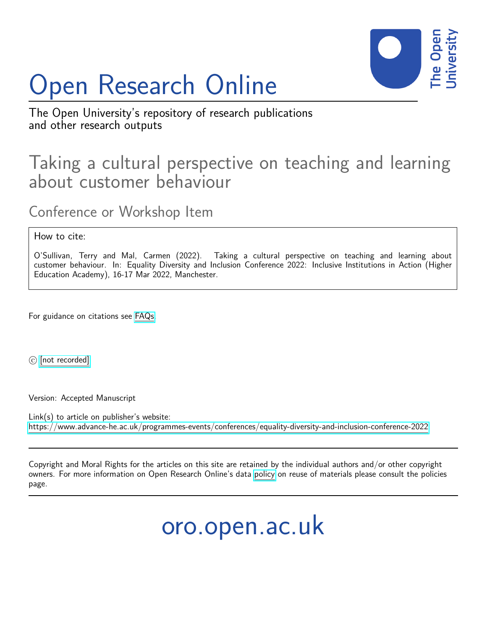

## Open Research Online

The Open University's repository of research publications and other research outputs

## Taking a cultural perspective on teaching and learning about customer behaviour

Conference or Workshop Item

How to cite:

O'Sullivan, Terry and Mal, Carmen (2022). Taking a cultural perspective on teaching and learning about customer behaviour. In: Equality Diversity and Inclusion Conference 2022: Inclusive Institutions in Action (Higher Education Academy), 16-17 Mar 2022, Manchester.

For guidance on citations see [FAQs.](http://oro.open.ac.uk/help/helpfaq.html)

 $\circled{c}$  [\[not recorded\]](http://oro.open.ac.uk/help/helpfaq.html#Unrecorded_information_on_coversheet)

Version: Accepted Manuscript

Link(s) to article on publisher's website: <https://www.advance-he.ac.uk/programmes-events/conferences/equality-diversity-and-inclusion-conference-2022>

Copyright and Moral Rights for the articles on this site are retained by the individual authors and/or other copyright owners. For more information on Open Research Online's data [policy](http://oro.open.ac.uk/policies.html) on reuse of materials please consult the policies page.

oro.open.ac.uk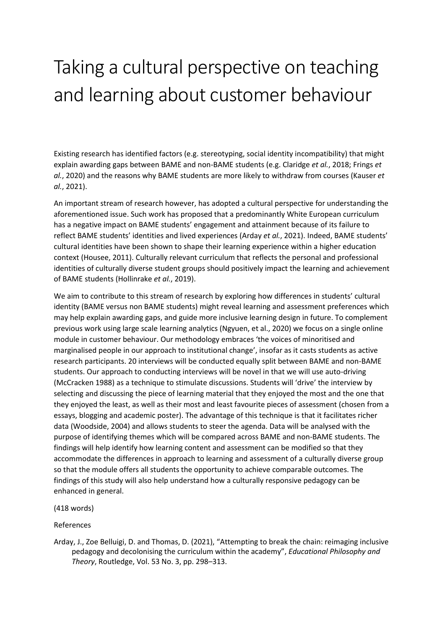## Taking a cultural perspective on teaching and learning about customer behaviour

Existing research has identified factors (e.g. stereotyping, social identity incompatibility) that might explain awarding gaps between BAME and non-BAME students (e.g. Claridge *et al.*, 2018; Frings *et al.*, 2020) and the reasons why BAME students are more likely to withdraw from courses (Kauser *et al.*, 2021).

An important stream of research however, has adopted a cultural perspective for understanding the aforementioned issue. Such work has proposed that a predominantly White European curriculum has a negative impact on BAME students' engagement and attainment because of its failure to reflect BAME students' identities and lived experiences (Arday *et al.*, 2021). Indeed, BAME students' cultural identities have been shown to shape their learning experience within a higher education context (Housee, 2011). Culturally relevant curriculum that reflects the personal and professional identities of culturally diverse student groups should positively impact the learning and achievement of BAME students (Hollinrake *et al.*, 2019).

We aim to contribute to this stream of research by exploring how differences in students' cultural identity (BAME versus non BAME students) might reveal learning and assessment preferences which may help explain awarding gaps, and guide more inclusive learning design in future. To complement previous work using large scale learning analytics (Ngyuen, et al., 2020) we focus on a single online module in customer behaviour. Our methodology embraces 'the voices of minoritised and marginalised people in our approach to institutional change', insofar as it casts students as active research participants. 20 interviews will be conducted equally split between BAME and non-BAME students. Our approach to conducting interviews will be novel in that we will use auto-driving (McCracken 1988) as a technique to stimulate discussions. Students will 'drive' the interview by selecting and discussing the piece of learning material that they enjoyed the most and the one that they enjoyed the least, as well as their most and least favourite pieces of assessment (chosen from a essays, blogging and academic poster). The advantage of this technique is that it facilitates richer data (Woodside, 2004) and allows students to steer the agenda. Data will be analysed with the purpose of identifying themes which will be compared across BAME and non-BAME students. The findings will help identify how learning content and assessment can be modified so that they accommodate the differences in approach to learning and assessment of a culturally diverse group so that the module offers all students the opportunity to achieve comparable outcomes. The findings of this study will also help understand how a culturally responsive pedagogy can be enhanced in general.

(418 words)

## References

Arday, J., Zoe Belluigi, D. and Thomas, D. (2021), "Attempting to break the chain: reimaging inclusive pedagogy and decolonising the curriculum within the academy", *Educational Philosophy and Theory*, Routledge, Vol. 53 No. 3, pp. 298–313.